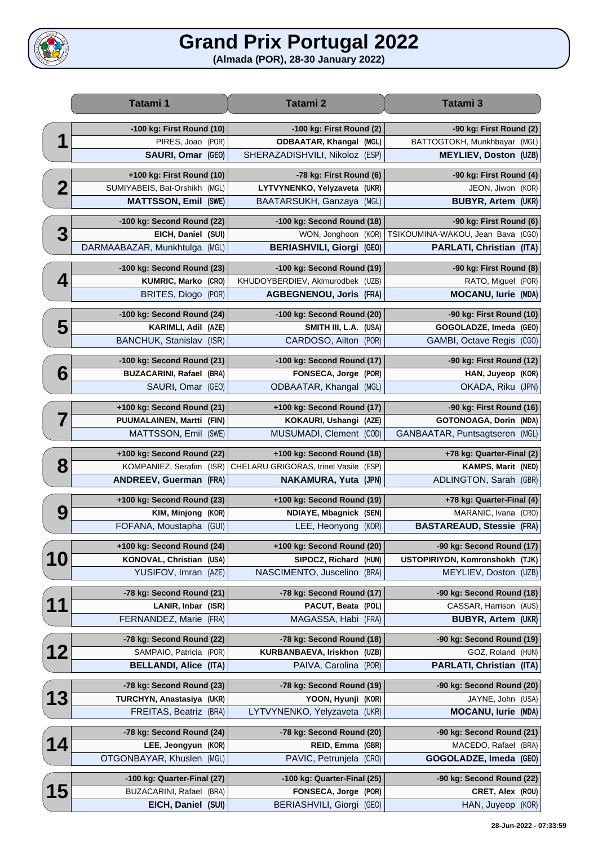## **Grand Prix Portugal 2022**



|                         | Tatami 1                                                | Tatami 2                                             | Tatami 3                                           |
|-------------------------|---------------------------------------------------------|------------------------------------------------------|----------------------------------------------------|
|                         | -100 kg: First Round (10)                               | -100 kg: First Round (2)                             | -90 kg: First Round (2)                            |
| ◀                       | PIRES, Joao<br>(POR)                                    | <b>ODBAATAR, Khangal (MGL)</b>                       | BATTOGTOKH, Munkhbayar (MGL)                       |
|                         | SAURI, Omar (GEO)                                       | SHERAZADISHVILI, Nikoloz (ESP)                       | <b>MEYLIEV, Doston (UZB)</b>                       |
|                         | +100 kg: First Round (10)                               | -78 kg: First Round (6)                              | -90 kg: First Round (4)                            |
| $\overline{\mathbf{2}}$ | SUMIYABEIS, Bat-Orshikh<br>(MGL)                        | LYTVYNENKO, Yelyzaveta (UKR)                         | JEON, Jiwon (KOR)                                  |
|                         | <b>MATTSSON, Emil</b><br>(SWE)                          | BAATARSUKH, Ganzaya (MGL)                            | <b>BUBYR, Artem (UKR)</b>                          |
|                         |                                                         |                                                      |                                                    |
|                         | -100 kg: Second Round (22)                              | -100 kg: Second Round (18)                           | -90 kg: First Round (6)                            |
| 3                       | EICH, Daniel<br>(SUI)                                   | WON, Jonghoon (KOR)                                  | TSIKOUMINA-WAKOU, Jean Bava (CGO)                  |
|                         | DARMAABAZAR, Munkhtulga<br>(MGL)                        | <b>BERIASHVILI, Giorgi (GEO)</b>                     | PARLATI, Christian (ITA)                           |
|                         | -100 kg: Second Round (23)                              | -100 kg: Second Round (19)                           | -90 kg: First Round (8)                            |
| 4                       | KUMRIC, Marko (CRO)                                     | KHUDOYBERDIEV, Aklmurodbek (UZB)                     | RATO, Miguel (POR)                                 |
|                         | <b>BRITES, Diogo</b><br>(POR)                           | <b>AGBEGNENOU, Joris (FRA)</b>                       | <b>MOCANU, lurie (MDA)</b>                         |
|                         | -100 kg: Second Round (24)                              | -100 kg: Second Round (20)                           | -90 kg: First Round (10)                           |
| 5                       | <b>KARIMLI, Adil</b><br>(AZE)                           | SMITH III, L.A. (USA)                                | GOGOLADZE, Imeda (GEO)                             |
|                         | <b>BANCHUK, Stanislav</b><br>(ISR)                      | CARDOSO, Ailton (POR)                                | GAMBI, Octave Regis (CGO)                          |
|                         | -100 kg: Second Round (21)                              | -100 kg: Second Round (17)                           | -90 kg: First Round (12)                           |
| 6                       | <b>BUZACARINI, Rafael</b><br>(BRA)                      | FONSECA, Jorge (POR)                                 | HAN, Juyeop (KOR)                                  |
|                         | SAURI, Omar<br>(GEO)                                    | ODBAATAR, Khangal (MGL)                              | OKADA, Riku (JPN)                                  |
|                         |                                                         |                                                      |                                                    |
|                         | +100 kg: Second Round (21)<br>PUUMALAINEN, Martti (FIN) | +100 kg: Second Round (17)<br>KOKAURI, Ushangi (AZE) | -90 kg: First Round (16)<br>GOTONOAGA, Dorin (MDA) |
|                         | MATTSSON, Emil<br>(SWE)                                 | MUSUMADI, Clement (COD)                              | GANBAATAR, Puntsagtseren (MGL)                     |
|                         |                                                         |                                                      |                                                    |
|                         | +100 kg: Second Round (22)                              | +100 kg: Second Round (18)                           | +78 kg: Quarter-Final (2)                          |
| 8                       | (ISR)<br>KOMPANIEZ, Serafim                             | CHELARU GRIGORAS, Irinel Vasile (ESP)                | <b>KAMPS, Marit (NED)</b>                          |
|                         | <b>ANDREEV, Guerman (FRA)</b>                           | <b>NAKAMURA, Yuta (JPN)</b>                          | ADLINGTON, Sarah (GBR)                             |
|                         | +100 kg: Second Round (23)                              | +100 kg: Second Round (19)                           | +78 kg: Quarter-Final (4)                          |
| 9                       | <b>KIM, Minjong</b><br>(KOR)                            | NDIAYE, Mbagnick (SEN)                               | MARANIC, Ivana (CRO)                               |
|                         | FOFANA, Moustapha<br>(GUI)                              | LEE, Heonyong (KOR)                                  | <b>BASTAREAUD, Stessie (FRA)</b>                   |
|                         | +100 kg: Second Round (24)                              | +100 kg: Second Round (20)                           | -90 kg: Second Round (17)                          |
| <b>10</b>               | KONOVAL, Christian (USA)                                | SIPOCZ, Richard (HUN)                                | USTOPIRIYON, Komronshokh (TJK)                     |
|                         | YUSIFOV, Imran<br>(AZE)                                 | NASCIMENTO, Juscelino (BRA)                          | MEYLIEV, Doston (UZB)                              |
|                         | -78 kg: Second Round (21)                               | -78 kg: Second Round (17)                            | -90 kg: Second Round (18)                          |
| 11                      | LANIR, Inbar (ISR)                                      | PACUT, Beata (POL)                                   | CASSAR, Harrison (AUS)                             |
|                         | FERNANDEZ, Marie<br>(FRA)                               | MAGASSA, Habi (FRA)                                  | <b>BUBYR, Artem (UKR)</b>                          |
|                         | -78 kg: Second Round (22)                               | -78 kg: Second Round (18)                            | -90 kg: Second Round (19)                          |
| 12                      | SAMPAIO, Patricia<br>(POR)                              | KURBANBAEVA, Iriskhon (UZB)                          | GOZ, Roland (HUN)                                  |
|                         | <b>BELLANDI, Alice</b><br>(ITA)                         | PAIVA, Carolina (POR)                                | PARLATI, Christian (ITA)                           |
|                         |                                                         |                                                      |                                                    |
|                         | -78 kg: Second Round (23)                               | -78 kg: Second Round (19)                            | -90 kg: Second Round (20)                          |
| <b>13</b>               | TURCHYN, Anastasiya (UKR)                               | YOON, Hyunji (KOR)                                   | JAYNE, John (USA)                                  |
|                         | FREITAS, Beatriz (BRA)                                  | LYTVYNENKO, Yelyzaveta (UKR)                         | <b>MOCANU, lurie (MDA)</b>                         |
|                         | -78 kg: Second Round (24)                               | -78 kg: Second Round (20)                            | -90 kg: Second Round (21)                          |
| 14                      | LEE, Jeongyun (KOR)                                     | REID, Emma (GBR)                                     | MACEDO, Rafael (BRA)                               |
|                         | OTGONBAYAR, Khuslen<br>(MGL)                            | PAVIC, Petrunjela (CRO)                              | GOGOLADZE, Imeda (GEO)                             |
|                         | -100 kg: Quarter-Final (27)                             | -100 kg: Quarter-Final (25)                          | -90 kg: Second Round (22)                          |
| <b>15</b>               | BUZACARINI, Rafael<br>(BRA)                             | FONSECA, Jorge (POR)                                 | CRET, Alex (ROU)                                   |
|                         | EICH, Daniel<br>(SUI)                                   | BERIASHVILI, Giorgi (GEO)                            | HAN, Juyeop (KOR)                                  |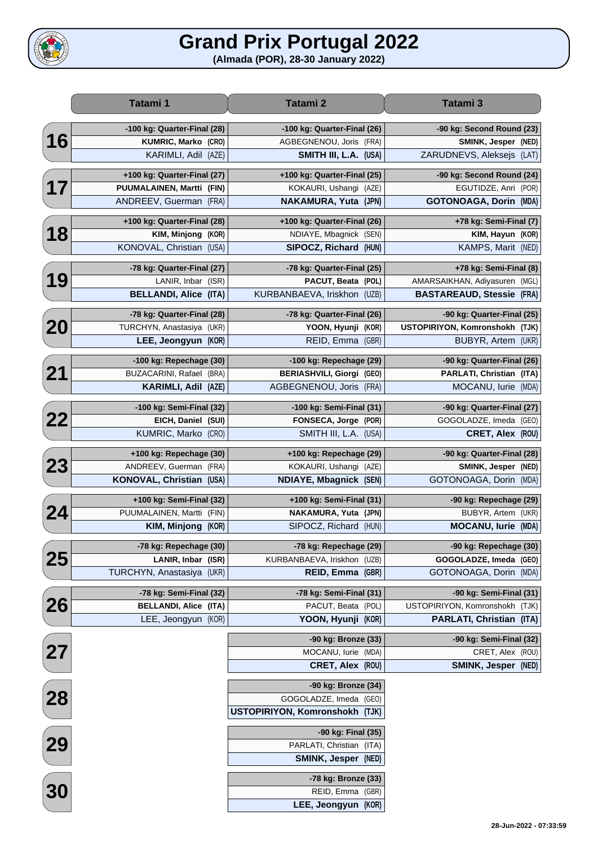## **Grand Prix Portugal 2022**

**(Almada (POR), 28-30 January 2022)**

|                                    | Tatami 1                            | Tatami 2                         | Tatami 3                         |
|------------------------------------|-------------------------------------|----------------------------------|----------------------------------|
|                                    | -100 kg: Quarter-Final (28)         | -100 kg: Quarter-Final (26)      | -90 kg: Second Round (23)        |
| 16                                 | <b>KUMRIC, Marko</b><br>(CRO)       | AGBEGNENOU, Joris (FRA)          | SMINK, Jesper (NED)              |
|                                    | KARIMLI, Adil<br>(AZE)              | SMITH III, L.A. (USA)            | ZARUDNEVS, Aleksejs (LAT)        |
|                                    | +100 kg: Quarter-Final (27)         | +100 kg: Quarter-Final (25)      | -90 kg: Second Round (24)        |
| 17                                 | <b>PUUMALAINEN, Martti</b><br>(FIN) | KOKAURI, Ushangi (AZE)           | EGUTIDZE, Anri (POR)             |
|                                    | ANDREEV, Guerman<br>(FRA)           | <b>NAKAMURA, Yuta (JPN)</b>      | <b>GOTONOAGA, Dorin (MDA)</b>    |
|                                    | +100 kg: Quarter-Final (28)         | +100 kg: Quarter-Final (26)      | +78 kg: Semi-Final (7)           |
| 18                                 | KIM, Minjong<br>(KOR)               | NDIAYE, Mbagnick (SEN)           | KIM, Hayun (KOR)                 |
|                                    | KONOVAL, Christian<br>(USA)         | SIPOCZ, Richard (HUN)            | KAMPS, Marit (NED)               |
|                                    | -78 kg: Quarter-Final (27)          | -78 kg: Quarter-Final (25)       | +78 kg: Semi-Final (8)           |
| 19                                 | LANIR, Inbar<br>(ISR)               | PACUT, Beata (POL)               | AMARSAIKHAN, Adiyasuren (MGL)    |
|                                    | <b>BELLANDI, Alice</b><br>(ITA)     | KURBANBAEVA, Iriskhon (UZB)      | <b>BASTAREAUD, Stessie (FRA)</b> |
|                                    | -78 kg: Quarter-Final (28)          | -78 kg: Quarter-Final (26)       | -90 kg: Quarter-Final (25)       |
| 20                                 | TURCHYN, Anastasiya<br>(UKR)        | YOON, Hyunji (KOR)               | USTOPIRIYON, Komronshokh (TJK)   |
|                                    | LEE, Jeongyun<br>(KOR)              | REID, Emma (GBR)                 | BUBYR, Artem (UKR)               |
|                                    | -100 kg: Repechage (30)             | -100 kg: Repechage (29)          | -90 kg: Quarter-Final (26)       |
| 21                                 | BUZACARINI, Rafael<br>(BRA)         | <b>BERIASHVILI, Giorgi (GEO)</b> | PARLATI, Christian (ITA)         |
|                                    | <b>KARIMLI, Adil</b><br>(AZE)       | AGBEGNENOU, Joris<br>(FRA)       | MOCANU, lurie (MDA)              |
|                                    | -100 kg: Semi-Final (32)            | -100 kg: Semi-Final (31)         | -90 kg: Quarter-Final (27)       |
| 22                                 | EICH, Daniel<br>(SUI)               | FONSECA, Jorge (POR)             | GOGOLADZE, Imeda (GEO)           |
|                                    | KUMRIC, Marko<br>(CRO)              | SMITH III, L.A. (USA)            | CRET, Alex (ROU)                 |
|                                    | +100 kg: Repechage (30)             | +100 kg: Repechage (29)          | -90 kg: Quarter-Final (28)       |
| 23                                 | ANDREEV, Guerman<br>(FRA)           | KOKAURI, Ushangi (AZE)           | SMINK, Jesper (NED)              |
|                                    | KONOVAL, Christian<br>(USA)         | NDIAYE, Mbagnick (SEN)           | GOTONOAGA, Dorin (MDA)           |
|                                    | +100 kg: Semi-Final (32)            | +100 kg: Semi-Final (31)         | -90 kg: Repechage (29)           |
| 24                                 | PUUMALAINEN, Martti<br>(FIN)        | NAKAMURA, Yuta (JPN)             | BUBYR, Artem (UKR)               |
|                                    | <b>KIM, Minjong</b><br>(KOR)        | SIPOCZ, Richard (HUN)            | <b>MOCANU, lurie (MDA)</b>       |
|                                    | -78 kg: Repechage (30)              | -78 kg: Repechage (29)           | -90 kg: Repechage (30)           |
| 25                                 | LANIR, Inbar (ISR)                  | KURBANBAEVA, Iriskhon (UZB)      | GOGOLADZE, Imeda (GEO)           |
|                                    | TURCHYN, Anastasiya<br>(UKR)        | <b>REID, Emma</b><br>(GBR)       | GOTONOAGA, Dorin (MDA)           |
|                                    | -78 kg: Semi-Final (32)             | -78 kg: Semi-Final (31)          | -90 kg: Semi-Final (31)          |
| 26                                 | <b>BELLANDI, Alice (ITA)</b>        | PACUT, Beata (POL)               | USTOPIRIYON, Komronshokh (TJK)   |
|                                    | LEE, Jeongyun (KOR)                 | YOON, Hyunji (KOR)               | PARLATI, Christian (ITA)         |
|                                    |                                     | -90 kg: Bronze (33)              | -90 kg: Semi-Final (32)          |
| $\begin{bmatrix} 27 \end{bmatrix}$ |                                     | MOCANU, lurie (MDA)              | CRET, Alex (ROU)                 |
|                                    |                                     | CRET, Alex (ROU)                 | SMINK, Jesper (NED)              |
|                                    |                                     | -90 kg: Bronze (34)              |                                  |
| 28                                 |                                     | GOGOLADZE, Imeda (GEO)           |                                  |
|                                    |                                     | USTOPIRIYON, Komronshokh (TJK)   |                                  |
|                                    |                                     | -90 kg: Final (35)               |                                  |
| 29<br>29                           |                                     | PARLATI, Christian (ITA)         |                                  |
|                                    |                                     | SMINK, Jesper (NED)              |                                  |
|                                    |                                     | -78 kg: Bronze (33)              |                                  |
| <b>30</b>                          |                                     | REID, Emma (GBR)                 |                                  |
|                                    |                                     | LEE, Jeongyun (KOR)              |                                  |